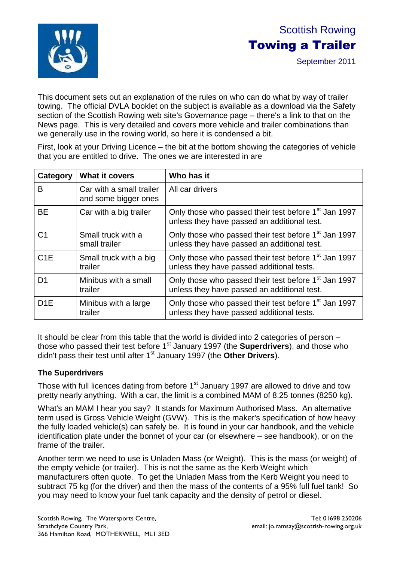

# Scottish Rowing Towing a Trailer

September 2011

This document sets out an explanation of the rules on who can do what by way of trailer towing. The official DVLA booklet on the subject is available as a download via the Safety section of the Scottish Rowing web site's Governance page – there's a link to that on the News page. This is very detailed and covers more vehicle and trailer combinations than we generally use in the rowing world, so here it is condensed a bit.

First, look at your Driving Licence – the bit at the bottom showing the categories of vehicle that you are entitled to drive. The ones we are interested in are

| Category         | What it covers                                   | Who has it                                                                                                      |  |
|------------------|--------------------------------------------------|-----------------------------------------------------------------------------------------------------------------|--|
| B                | Car with a small trailer<br>and some bigger ones | All car drivers                                                                                                 |  |
| <b>BE</b>        | Car with a big trailer                           | Only those who passed their test before 1 <sup>st</sup> Jan 1997<br>unless they have passed an additional test. |  |
| C <sub>1</sub>   | Small truck with a<br>small trailer              | Only those who passed their test before 1 <sup>st</sup> Jan 1997<br>unless they have passed an additional test. |  |
| C1E              | Small truck with a big<br>trailer                | Only those who passed their test before 1 <sup>st</sup> Jan 1997<br>unless they have passed additional tests.   |  |
| D1               | Minibus with a small<br>trailer                  | Only those who passed their test before 1 <sup>st</sup> Jan 1997<br>unless they have passed an additional test. |  |
| D <sub>1</sub> E | Minibus with a large<br>trailer                  | Only those who passed their test before 1 <sup>st</sup> Jan 1997<br>unless they have passed additional tests.   |  |

It should be clear from this table that the world is divided into 2 categories of person – those who passed their test before 1<sup>st</sup> January 1997 (the **Superdrivers**), and those who didn't pass their test until after 1st January 1997 (the **Other Drivers**).

### **The Superdrivers**

Those with full licences dating from before  $1<sup>st</sup>$  January 1997 are allowed to drive and tow pretty nearly anything. With a car, the limit is a combined MAM of 8.25 tonnes (8250 kg).

What's an MAM I hear you say? It stands for Maximum Authorised Mass. An alternative term used is Gross Vehicle Weight (GVW). This is the maker's specification of how heavy the fully loaded vehicle(s) can safely be. It is found in your car handbook, and the vehicle identification plate under the bonnet of your car (or elsewhere – see handbook), or on the frame of the trailer.

Another term we need to use is Unladen Mass (or Weight). This is the mass (or weight) of the empty vehicle (or trailer). This is not the same as the Kerb Weight which manufacturers often quote. To get the Unladen Mass from the Kerb Weight you need to subtract 75 kg (for the driver) and then the mass of the contents of a 95% full fuel tank! So you may need to know your fuel tank capacity and the density of petrol or diesel.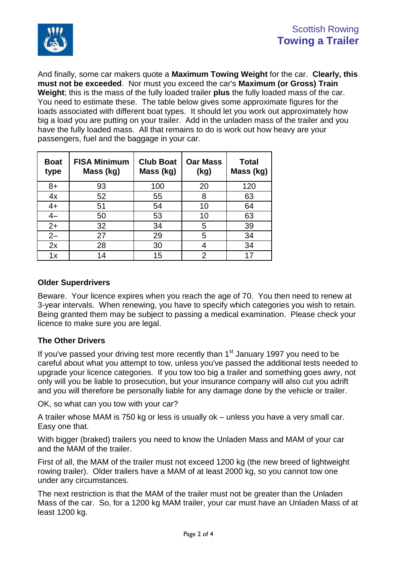

And finally, some car makers quote a **Maximum Towing Weight** for the car. **Clearly, this must not be exceeded**. Nor must you exceed the car's **Maximum (or Gross) Train Weight**; this is the mass of the fully loaded trailer **plus** the fully loaded mass of the car. You need to estimate these. The table below gives some approximate figures for the loads associated with different boat types. It should let you work out approximately how big a load you are putting on your trailer. Add in the unladen mass of the trailer and you have the fully loaded mass. All that remains to do is work out how heavy are your passengers, fuel and the baggage in your car.

| <b>Boat</b><br>type | <b>FISA Minimum</b><br>Mass (kg) | <b>Club Boat</b><br>Mass (kg) | <b>Oar Mass</b><br>(kg) | <b>Total</b><br>Mass (kg) |
|---------------------|----------------------------------|-------------------------------|-------------------------|---------------------------|
| $8+$                | 93                               | 100                           | 20                      | 120                       |
| 4x                  | 52                               | 55                            | 8                       | 63                        |
| $4+$                | 51                               | 54                            | 10                      | 64                        |
|                     | 50                               | 53                            | 10                      | 63                        |
| $2+$                | 32                               | 34                            | 5                       | 39                        |
| $2 -$               | 27                               | 29                            | 5                       | 34                        |
| 2x                  | 28                               | 30                            |                         | 34                        |
| 1x                  | 14                               | 15                            | 2                       |                           |

#### **Older Superdrivers**

Beware. Your licence expires when you reach the age of 70. You then need to renew at 3-year intervals. When renewing, you have to specify which categories you wish to retain. Being granted them may be subject to passing a medical examination. Please check your licence to make sure you are legal.

#### **The Other Drivers**

If you've passed your driving test more recently than  $1<sup>st</sup>$  January 1997 you need to be careful about what you attempt to tow, unless you've passed the additional tests needed to upgrade your licence categories. If you tow too big a trailer and something goes awry, not only will you be liable to prosecution, but your insurance company will also cut you adrift and you will therefore be personally liable for any damage done by the vehicle or trailer.

OK, so what can you tow with your car?

A trailer whose MAM is 750 kg or less is usually ok – unless you have a very small car. Easy one that.

With bigger (braked) trailers you need to know the Unladen Mass and MAM of your car and the MAM of the trailer.

First of all, the MAM of the trailer must not exceed 1200 kg (the new breed of lightweight rowing trailer). Older trailers have a MAM of at least 2000 kg, so you cannot tow one under any circumstances.

The next restriction is that the MAM of the trailer must not be greater than the Unladen Mass of the car. So, for a 1200 kg MAM trailer, your car must have an Unladen Mass of at least 1200 kg.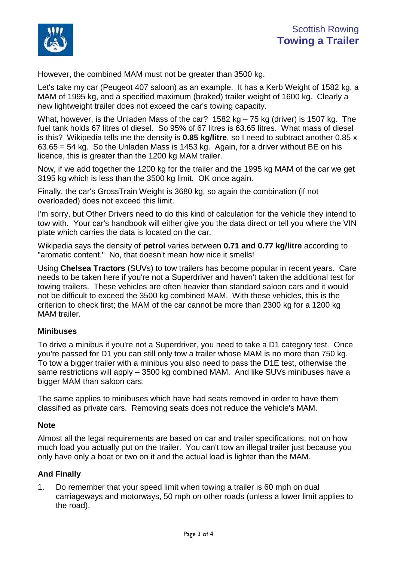

However, the combined MAM must not be greater than 3500 kg.

Let's take my car (Peugeot 407 saloon) as an example. It has a Kerb Weight of 1582 kg, a MAM of 1995 kg, and a specified maximum (braked) trailer weight of 1600 kg. Clearly a new lightweight trailer does not exceed the car's towing capacity.

What, however, is the Unladen Mass of the car? 1582 kg – 75 kg (driver) is 1507 kg. The fuel tank holds 67 litres of diesel. So 95% of 67 litres is 63.65 litres. What mass of diesel is this? Wikipedia tells me the density is **0.85 kg/litre**, so I need to subtract another 0.85 x 63.65 = 54 kg. So the Unladen Mass is 1453 kg. Again, for a driver without BE on his licence, this is greater than the 1200 kg MAM trailer.

Now, if we add together the 1200 kg for the trailer and the 1995 kg MAM of the car we get 3195 kg which is less than the 3500 kg limit. OK once again.

Finally, the car's GrossTrain Weight is 3680 kg, so again the combination (if not overloaded) does not exceed this limit.

I'm sorry, but Other Drivers need to do this kind of calculation for the vehicle they intend to tow with. Your car's handbook will either give you the data direct or tell you where the VIN plate which carries the data is located on the car.

Wikipedia says the density of **petrol** varies between **0.71 and 0.77 kg/litre** according to "aromatic content." No, that doesn't mean how nice it smells!

Using **Chelsea Tractors** (SUVs) to tow trailers has become popular in recent years. Care needs to be taken here if you're not a Superdriver and haven't taken the additional test for towing trailers. These vehicles are often heavier than standard saloon cars and it would not be difficult to exceed the 3500 kg combined MAM. With these vehicles, this is the criterion to check first; the MAM of the car cannot be more than 2300 kg for a 1200 kg MAM trailer.

#### **Minibuses**

To drive a minibus if you're not a Superdriver, you need to take a D1 category test. Once you're passed for D1 you can still only tow a trailer whose MAM is no more than 750 kg. To tow a bigger trailer with a minibus you also need to pass the D1E test, otherwise the same restrictions will apply – 3500 kg combined MAM. And like SUVs minibuses have a bigger MAM than saloon cars.

The same applies to minibuses which have had seats removed in order to have them classified as private cars. Removing seats does not reduce the vehicle's MAM.

#### **Note**

Almost all the legal requirements are based on car and trailer specifications, not on how much load you actually put on the trailer. You can't tow an illegal trailer just because you only have only a boat or two on it and the actual load is lighter than the MAM.

#### **And Finally**

1. Do remember that your speed limit when towing a trailer is 60 mph on dual carriageways and motorways, 50 mph on other roads (unless a lower limit applies to the road).